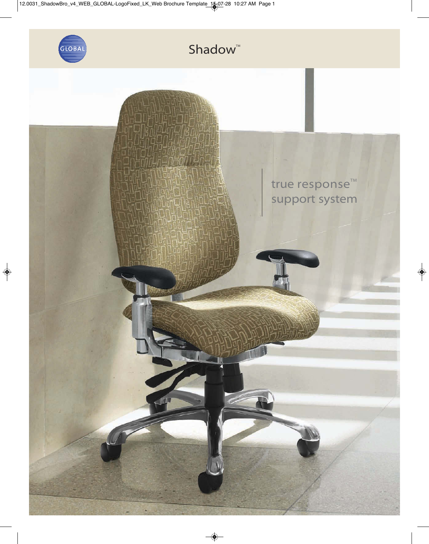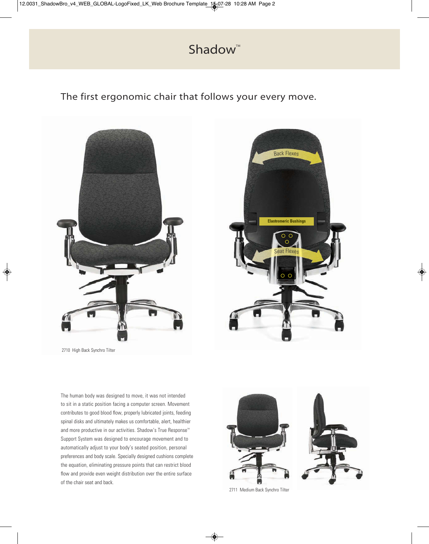# Shadow<sup>™</sup>

The first ergonomic chair that follows your every move.





2710 High Back Synchro Tilter

The human body was designed to move, it was not intended to sit in a static position facing a computer screen. Movement contributes to good blood flow, properly lubricated joints, feeding spinal disks and ultimately makes us comfortable, alert, healthier and more productive in our activities. Shadow's True Response<sup>™</sup> Support System was designed to encourage movement and to automatically adjust to your body's seated position, personal preferences and body scale. Specially designed cushions complete the equation, eliminating pressure points that can restrict blood flow and provide even weight distribution over the entire surface of the chair seat and back.



2711 Medium Back Synchro Tilter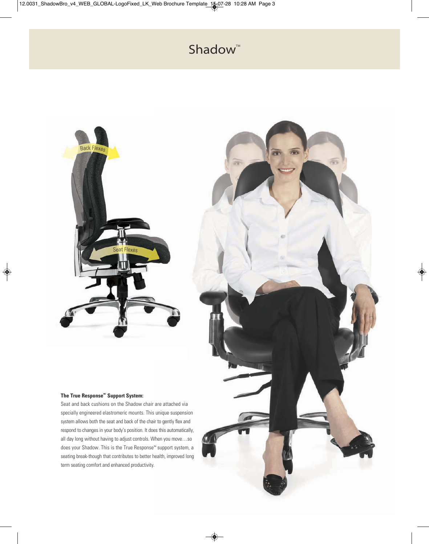# Shadow<sup>™</sup>

霜

尝



### **The True Response<sup>Mc</sup> Support System:**

Seat and back cushions on the Shadow chair are attached via specially engineered elastromeric mounts. This unique suspension system allows both the seat and back of the chair to gently flex and respond to changes in your body's position. It does this automatically, all day long without having to adjust controls. When you move…so does your Shadow. This is the True Response™ support system, a seating break-though that contributes to better health, improved long term seating comfort and enhanced productivity.